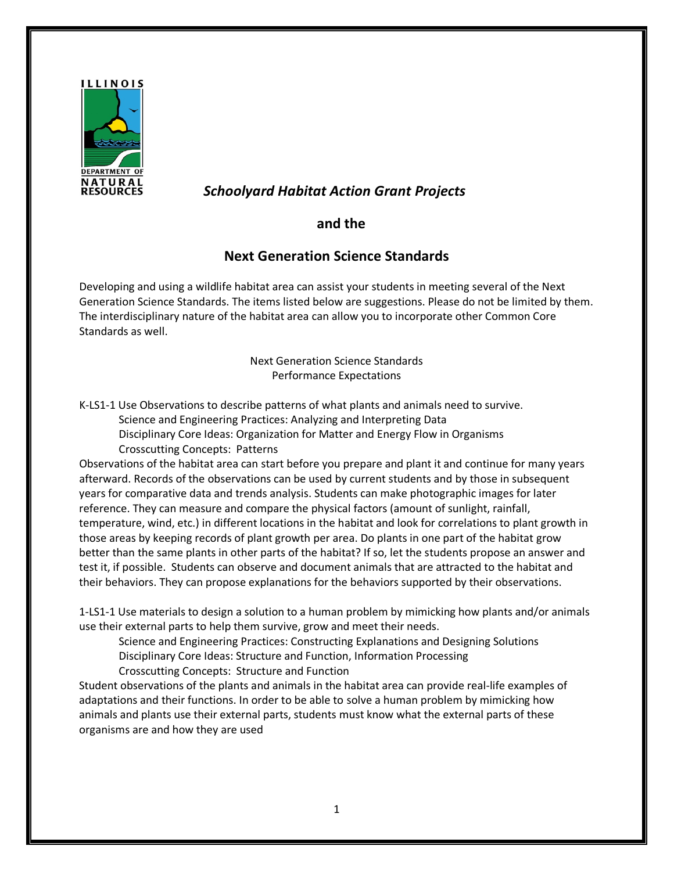

## *Schoolyard Habitat Action Grant Projects*

## **and the**

## **Next Generation Science Standards**

Developing and using a wildlife habitat area can assist your students in meeting several of the Next Generation Science Standards. The items listed below are suggestions. Please do not be limited by them. The interdisciplinary nature of the habitat area can allow you to incorporate other Common Core Standards as well.

> Next Generation Science Standards Performance Expectations

K-LS1-1 Use Observations to describe patterns of what plants and animals need to survive.

Science and Engineering Practices: Analyzing and Interpreting Data

Disciplinary Core Ideas: Organization for Matter and Energy Flow in Organisms Crosscutting Concepts: Patterns

Observations of the habitat area can start before you prepare and plant it and continue for many years afterward. Records of the observations can be used by current students and by those in subsequent years for comparative data and trends analysis. Students can make photographic images for later reference. They can measure and compare the physical factors (amount of sunlight, rainfall, temperature, wind, etc.) in different locations in the habitat and look for correlations to plant growth in those areas by keeping records of plant growth per area. Do plants in one part of the habitat grow better than the same plants in other parts of the habitat? If so, let the students propose an answer and test it, if possible. Students can observe and document animals that are attracted to the habitat and their behaviors. They can propose explanations for the behaviors supported by their observations.

1-LS1-1 Use materials to design a solution to a human problem by mimicking how plants and/or animals use their external parts to help them survive, grow and meet their needs.

Science and Engineering Practices: Constructing Explanations and Designing Solutions

Disciplinary Core Ideas: Structure and Function, Information Processing

Crosscutting Concepts: Structure and Function

Student observations of the plants and animals in the habitat area can provide real-life examples of adaptations and their functions. In order to be able to solve a human problem by mimicking how animals and plants use their external parts, students must know what the external parts of these organisms are and how they are used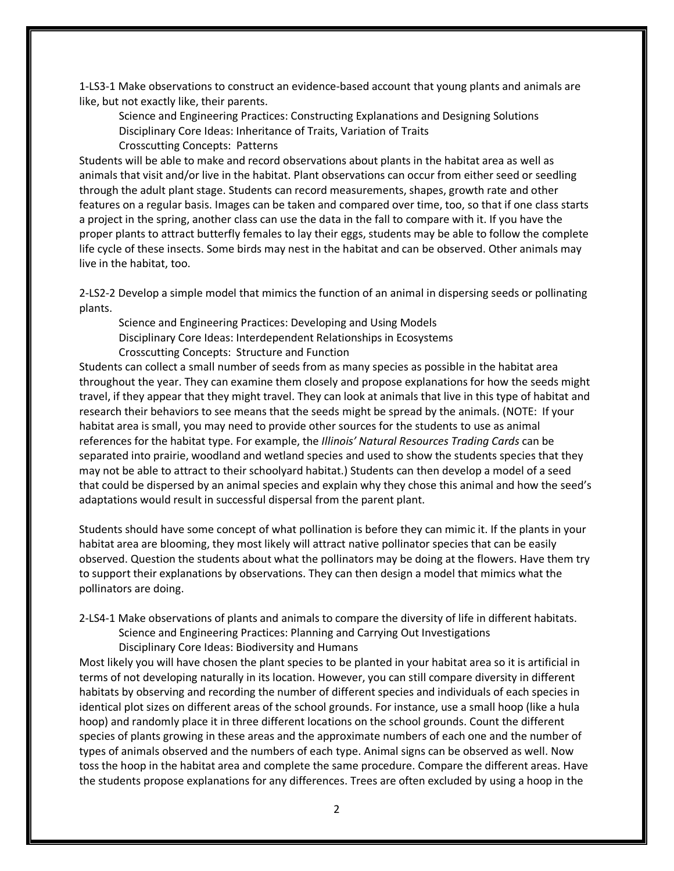1-LS3-1 Make observations to construct an evidence-based account that young plants and animals are like, but not exactly like, their parents.

Science and Engineering Practices: Constructing Explanations and Designing Solutions Disciplinary Core Ideas: Inheritance of Traits, Variation of Traits

Crosscutting Concepts: Patterns

Students will be able to make and record observations about plants in the habitat area as well as animals that visit and/or live in the habitat. Plant observations can occur from either seed or seedling through the adult plant stage. Students can record measurements, shapes, growth rate and other features on a regular basis. Images can be taken and compared over time, too, so that if one class starts a project in the spring, another class can use the data in the fall to compare with it. If you have the proper plants to attract butterfly females to lay their eggs, students may be able to follow the complete life cycle of these insects. Some birds may nest in the habitat and can be observed. Other animals may live in the habitat, too.

2-LS2-2 Develop a simple model that mimics the function of an animal in dispersing seeds or pollinating plants.

Science and Engineering Practices: Developing and Using Models

Disciplinary Core Ideas: Interdependent Relationships in Ecosystems

Crosscutting Concepts: Structure and Function

Students can collect a small number of seeds from as many species as possible in the habitat area throughout the year. They can examine them closely and propose explanations for how the seeds might travel, if they appear that they might travel. They can look at animals that live in this type of habitat and research their behaviors to see means that the seeds might be spread by the animals. (NOTE: If your habitat area is small, you may need to provide other sources for the students to use as animal references for the habitat type. For example, the *Illinois' Natural Resources Trading Cards* can be separated into prairie, woodland and wetland species and used to show the students species that they may not be able to attract to their schoolyard habitat.) Students can then develop a model of a seed that could be dispersed by an animal species and explain why they chose this animal and how the seed's adaptations would result in successful dispersal from the parent plant.

Students should have some concept of what pollination is before they can mimic it. If the plants in your habitat area are blooming, they most likely will attract native pollinator species that can be easily observed. Question the students about what the pollinators may be doing at the flowers. Have them try to support their explanations by observations. They can then design a model that mimics what the pollinators are doing.

2-LS4-1 Make observations of plants and animals to compare the diversity of life in different habitats. Science and Engineering Practices: Planning and Carrying Out Investigations

Disciplinary Core Ideas: Biodiversity and Humans

Most likely you will have chosen the plant species to be planted in your habitat area so it is artificial in terms of not developing naturally in its location. However, you can still compare diversity in different habitats by observing and recording the number of different species and individuals of each species in identical plot sizes on different areas of the school grounds. For instance, use a small hoop (like a hula hoop) and randomly place it in three different locations on the school grounds. Count the different species of plants growing in these areas and the approximate numbers of each one and the number of types of animals observed and the numbers of each type. Animal signs can be observed as well. Now toss the hoop in the habitat area and complete the same procedure. Compare the different areas. Have the students propose explanations for any differences. Trees are often excluded by using a hoop in the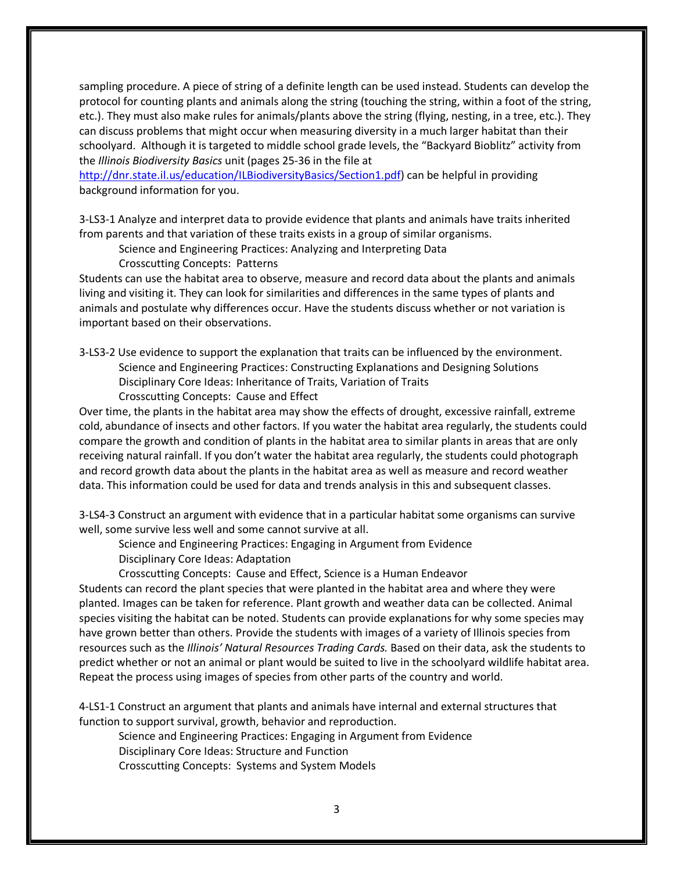sampling procedure. A piece of string of a definite length can be used instead. Students can develop the protocol for counting plants and animals along the string (touching the string, within a foot of the string, etc.). They must also make rules for animals/plants above the string (flying, nesting, in a tree, etc.). They can discuss problems that might occur when measuring diversity in a much larger habitat than their schoolyard. Although it is targeted to middle school grade levels, the "Backyard Bioblitz" activity from the *Illinois Biodiversity Basics* unit (pages 25-36 in the file at

[http://dnr.state.il.us/education/ILBiodiversityBasics/Section1.pdf\)](http://dnr.state.il.us/education/ILBiodiversityBasics/Section1.pdf) can be helpful in providing background information for you.

3-LS3-1 Analyze and interpret data to provide evidence that plants and animals have traits inherited from parents and that variation of these traits exists in a group of similar organisms.

Science and Engineering Practices: Analyzing and Interpreting Data

Crosscutting Concepts: Patterns

Students can use the habitat area to observe, measure and record data about the plants and animals living and visiting it. They can look for similarities and differences in the same types of plants and animals and postulate why differences occur. Have the students discuss whether or not variation is important based on their observations.

3-LS3-2 Use evidence to support the explanation that traits can be influenced by the environment. Science and Engineering Practices: Constructing Explanations and Designing Solutions Disciplinary Core Ideas: Inheritance of Traits, Variation of Traits

Crosscutting Concepts: Cause and Effect

Over time, the plants in the habitat area may show the effects of drought, excessive rainfall, extreme cold, abundance of insects and other factors. If you water the habitat area regularly, the students could compare the growth and condition of plants in the habitat area to similar plants in areas that are only receiving natural rainfall. If you don't water the habitat area regularly, the students could photograph and record growth data about the plants in the habitat area as well as measure and record weather data. This information could be used for data and trends analysis in this and subsequent classes.

3-LS4-3 Construct an argument with evidence that in a particular habitat some organisms can survive well, some survive less well and some cannot survive at all.

Science and Engineering Practices: Engaging in Argument from Evidence

Disciplinary Core Ideas: Adaptation

Crosscutting Concepts: Cause and Effect, Science is a Human Endeavor

Students can record the plant species that were planted in the habitat area and where they were planted. Images can be taken for reference. Plant growth and weather data can be collected. Animal species visiting the habitat can be noted. Students can provide explanations for why some species may have grown better than others. Provide the students with images of a variety of Illinois species from resources such as the *Illinois' Natural Resources Trading Cards.* Based on their data, ask the students to predict whether or not an animal or plant would be suited to live in the schoolyard wildlife habitat area. Repeat the process using images of species from other parts of the country and world.

4-LS1-1 Construct an argument that plants and animals have internal and external structures that function to support survival, growth, behavior and reproduction.

Science and Engineering Practices: Engaging in Argument from Evidence

Disciplinary Core Ideas: Structure and Function

Crosscutting Concepts: Systems and System Models